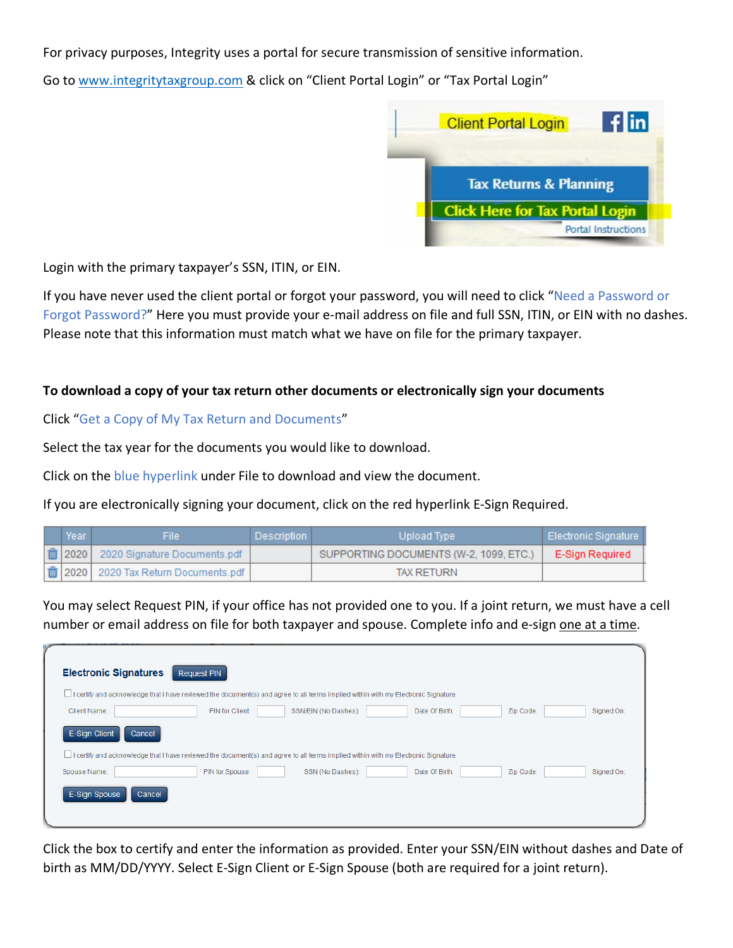For privacy purposes, Integrity uses a portal for secure transmission of sensitive information.

Go to [www.integritytaxgroup.com](http://www.integritytaxgroup.com/) & click on "Client Portal Login" or "Tax Portal Login"



Login with the primary taxpayer's SSN, ITIN, or EIN.

If you have never used the client portal or forgot your password, you will need to click "Need a Password or Forgot Password?" Here you must provide your e-mail address on file and full SSN, ITIN, or EIN with no dashes. Please note that this information must match what we have on file for the primary taxpayer.

# **To download a copy of your tax return other documents or electronically sign your documents**

Click "Get a Copy of My Tax Return and Documents"

Select the tax year for the documents you would like to download.

Click on the blue hyperlink under File to download and view the document.

If you are electronically signing your document, click on the red hyperlink E-Sign Required.

| Year | File I                                               | Description | Upload Type                            | ∣ Electronic Signature ∣ |
|------|------------------------------------------------------|-------------|----------------------------------------|--------------------------|
|      | $\frac{1}{2020}$ 2020   2020 Signature Documents.pdf |             | SUPPORTING DOCUMENTS (W-2, 1099, ETC.) | E-Sign Required          |
|      | 10 2020   2020 Tax Return Documents.pdf              |             | <b>TAX RETURN</b>                      |                          |

You may select Request PIN, if your office has not provided one to you. If a joint return, we must have a cell number or email address on file for both taxpayer and spouse. Complete info and e-sign one at a time.

| <b>Electronic Signatures</b><br>Request PIN                                                                                         |            |
|-------------------------------------------------------------------------------------------------------------------------------------|------------|
| LI certify and acknowledge that I have reviewed the document(s) and agree to all terms implied within with my Electronic Signature. |            |
| <b>PIN for Client:</b><br>SSN/EIN (No Dashes):<br>Date Of Birth:<br>Zip Code:<br>Client Name:                                       | Signed On: |
| E-Sign Client<br>Cancel                                                                                                             |            |
| Li certify and acknowledge that I have reviewed the document(s) and agree to all terms implied within with my Electronic Signature. |            |
| PIN for Spouse:<br>SSN (No Dashes):<br>Date Of Birth:<br>Zip Code:<br>Spouse Name:                                                  | Signed On: |
| E-Sign Spouse<br>Cancel                                                                                                             |            |
|                                                                                                                                     |            |

Click the box to certify and enter the information as provided. Enter your SSN/EIN without dashes and Date of birth as MM/DD/YYYY. Select E-Sign Client or E-Sign Spouse (both are required for a joint return).